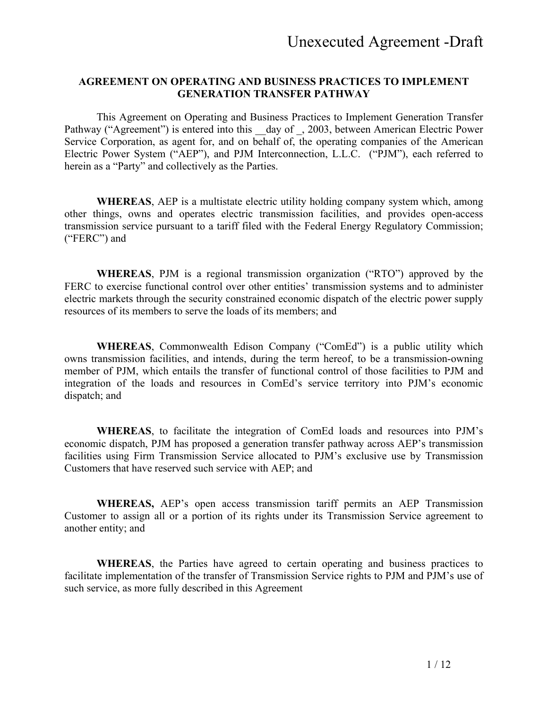#### **AGREEMENT ON OPERATING AND BUSINESS PRACTICES TO IMPLEMENT GENERATION TRANSFER PATHWAY**

This Agreement on Operating and Business Practices to Implement Generation Transfer Pathway ("Agreement") is entered into this day of , 2003, between American Electric Power Service Corporation, as agent for, and on behalf of, the operating companies of the American Electric Power System ("AEP"), and PJM Interconnection, L.L.C. ("PJM"), each referred to herein as a "Party" and collectively as the Parties.

**WHEREAS**, AEP is a multistate electric utility holding company system which, among other things, owns and operates electric transmission facilities, and provides open-access transmission service pursuant to a tariff filed with the Federal Energy Regulatory Commission; ("FERC") and

**WHEREAS**, PJM is a regional transmission organization ("RTO") approved by the FERC to exercise functional control over other entities' transmission systems and to administer electric markets through the security constrained economic dispatch of the electric power supply resources of its members to serve the loads of its members; and

**WHEREAS**, Commonwealth Edison Company ("ComEd") is a public utility which owns transmission facilities, and intends, during the term hereof, to be a transmission-owning member of PJM, which entails the transfer of functional control of those facilities to PJM and integration of the loads and resources in ComEd's service territory into PJM's economic dispatch; and

**WHEREAS**, to facilitate the integration of ComEd loads and resources into PJM's economic dispatch, PJM has proposed a generation transfer pathway across AEP's transmission facilities using Firm Transmission Service allocated to PJM's exclusive use by Transmission Customers that have reserved such service with AEP; and

**WHEREAS,** AEP's open access transmission tariff permits an AEP Transmission Customer to assign all or a portion of its rights under its Transmission Service agreement to another entity; and

**WHEREAS**, the Parties have agreed to certain operating and business practices to facilitate implementation of the transfer of Transmission Service rights to PJM and PJM's use of such service, as more fully described in this Agreement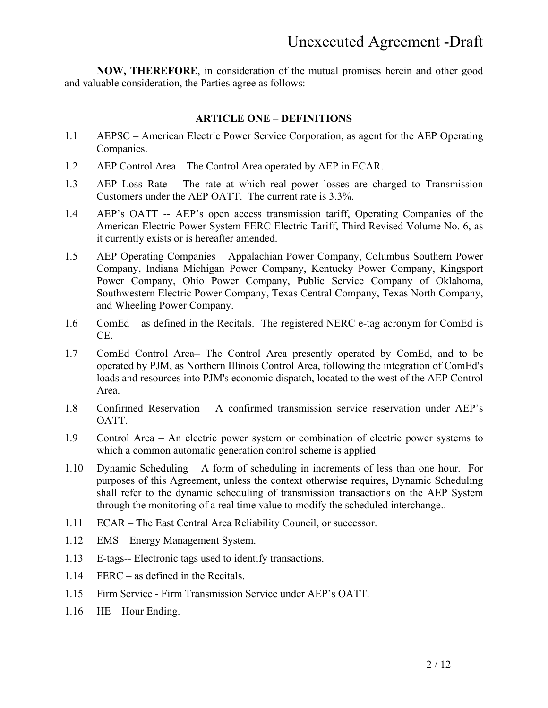**NOW, THEREFORE**, in consideration of the mutual promises herein and other good and valuable consideration, the Parties agree as follows:

#### **ARTICLE ONE – DEFINITIONS**

- 1.1 AEPSC American Electric Power Service Corporation, as agent for the AEP Operating Companies.
- 1.2 AEP Control Area The Control Area operated by AEP in ECAR.
- 1.3 AEP Loss Rate The rate at which real power losses are charged to Transmission Customers under the AEP OATT. The current rate is 3.3%.
- 1.4 AEP's OATT -- AEP's open access transmission tariff, Operating Companies of the American Electric Power System FERC Electric Tariff, Third Revised Volume No. 6, as it currently exists or is hereafter amended.
- 1.5 AEP Operating Companies Appalachian Power Company, Columbus Southern Power Company, Indiana Michigan Power Company, Kentucky Power Company, Kingsport Power Company, Ohio Power Company, Public Service Company of Oklahoma, Southwestern Electric Power Company, Texas Central Company, Texas North Company, and Wheeling Power Company.
- 1.6 ComEd as defined in the Recitals. The registered NERC e-tag acronym for ComEd is CE.
- 1.7 ComEd Control AreaThe Control Area presently operated by ComEd, and to be operated by PJM, as Northern Illinois Control Area, following the integration of ComEd's loads and resources into PJM's economic dispatch, located to the west of the AEP Control Area.
- 1.8 Confirmed Reservation A confirmed transmission service reservation under AEP's OATT.
- 1.9 Control Area An electric power system or combination of electric power systems to which a common automatic generation control scheme is applied
- 1.10 Dynamic Scheduling A form of scheduling in increments of less than one hour. For purposes of this Agreement, unless the context otherwise requires, Dynamic Scheduling shall refer to the dynamic scheduling of transmission transactions on the AEP System through the monitoring of a real time value to modify the scheduled interchange..
- 1.11 ECAR The East Central Area Reliability Council, or successor.
- 1.12 EMS Energy Management System.
- 1.13 E-tags-- Electronic tags used to identify transactions.
- 1.14 FERC as defined in the Recitals.
- 1.15 Firm Service Firm Transmission Service under AEP's OATT.
- 1.16 HE Hour Ending.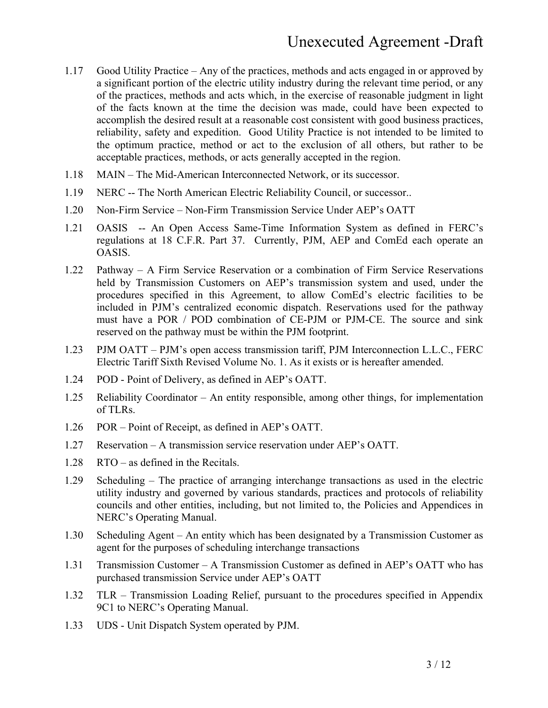- 1.17 Good Utility Practice Any of the practices, methods and acts engaged in or approved by a significant portion of the electric utility industry during the relevant time period, or any of the practices, methods and acts which, in the exercise of reasonable judgment in light of the facts known at the time the decision was made, could have been expected to accomplish the desired result at a reasonable cost consistent with good business practices, reliability, safety and expedition. Good Utility Practice is not intended to be limited to the optimum practice, method or act to the exclusion of all others, but rather to be acceptable practices, methods, or acts generally accepted in the region.
- 1.18 MAIN The Mid-American Interconnected Network, or its successor.
- 1.19 NERC -- The North American Electric Reliability Council, or successor..
- 1.20 Non-Firm Service Non-Firm Transmission Service Under AEP's OATT
- 1.21 OASIS -- An Open Access Same-Time Information System as defined in FERC's regulations at 18 C.F.R. Part 37. Currently, PJM, AEP and ComEd each operate an OASIS.
- 1.22 Pathway A Firm Service Reservation or a combination of Firm Service Reservations held by Transmission Customers on AEP's transmission system and used, under the procedures specified in this Agreement, to allow ComEd's electric facilities to be included in PJM's centralized economic dispatch. Reservations used for the pathway must have a POR / POD combination of CE-PJM or PJM-CE. The source and sink reserved on the pathway must be within the PJM footprint.
- 1.23 PJM OATT PJM's open access transmission tariff, PJM Interconnection L.L.C., FERC Electric Tariff Sixth Revised Volume No. 1. As it exists or is hereafter amended.
- 1.24 POD Point of Delivery, as defined in AEP's OATT.
- 1.25 Reliability Coordinator An entity responsible, among other things, for implementation of TLRs.
- 1.26 POR Point of Receipt, as defined in AEP's OATT.
- 1.27 Reservation A transmission service reservation under AEP's OATT.
- 1.28 RTO as defined in the Recitals.
- 1.29 Scheduling The practice of arranging interchange transactions as used in the electric utility industry and governed by various standards, practices and protocols of reliability councils and other entities, including, but not limited to, the Policies and Appendices in NERC's Operating Manual.
- 1.30 Scheduling Agent An entity which has been designated by a Transmission Customer as agent for the purposes of scheduling interchange transactions
- 1.31 Transmission Customer A Transmission Customer as defined in AEP's OATT who has purchased transmission Service under AEP's OATT
- 1.32 TLR Transmission Loading Relief, pursuant to the procedures specified in Appendix 9C1 to NERC's Operating Manual.
- 1.33 UDS Unit Dispatch System operated by PJM.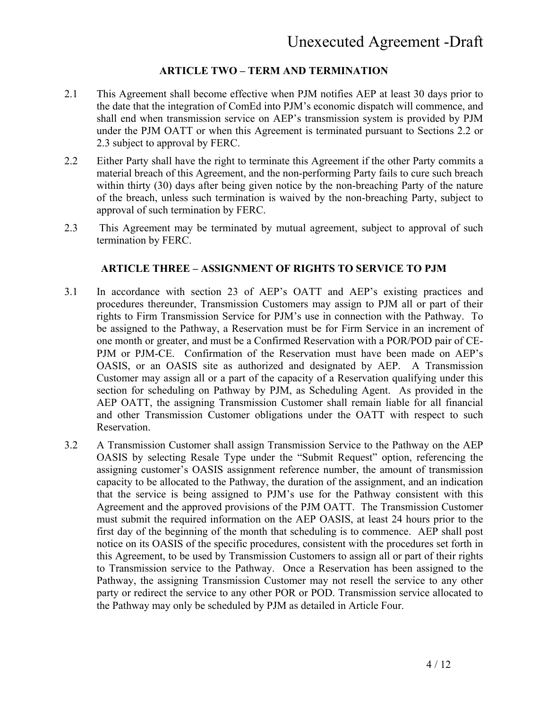#### **ARTICLE TWO – TERM AND TERMINATION**

- 2.1 This Agreement shall become effective when PJM notifies AEP at least 30 days prior to the date that the integration of ComEd into PJM's economic dispatch will commence, and shall end when transmission service on AEP's transmission system is provided by PJM under the PJM OATT or when this Agreement is terminated pursuant to Sections 2.2 or 2.3 subject to approval by FERC.
- 2.2 Either Party shall have the right to terminate this Agreement if the other Party commits a material breach of this Agreement, and the non-performing Party fails to cure such breach within thirty (30) days after being given notice by the non-breaching Party of the nature of the breach, unless such termination is waived by the non-breaching Party, subject to approval of such termination by FERC.
- 2.3 This Agreement may be terminated by mutual agreement, subject to approval of such termination by FERC.

#### **ARTICLE THREE – ASSIGNMENT OF RIGHTS TO SERVICE TO PJM**

- 3.1 In accordance with section 23 of AEP's OATT and AEP's existing practices and procedures thereunder, Transmission Customers may assign to PJM all or part of their rights to Firm Transmission Service for PJM's use in connection with the Pathway. To be assigned to the Pathway, a Reservation must be for Firm Service in an increment of one month or greater, and must be a Confirmed Reservation with a POR/POD pair of CE-PJM or PJM-CE. Confirmation of the Reservation must have been made on AEP's OASIS, or an OASIS site as authorized and designated by AEP. A Transmission Customer may assign all or a part of the capacity of a Reservation qualifying under this section for scheduling on Pathway by PJM, as Scheduling Agent. As provided in the AEP OATT, the assigning Transmission Customer shall remain liable for all financial and other Transmission Customer obligations under the OATT with respect to such Reservation.
- 3.2 A Transmission Customer shall assign Transmission Service to the Pathway on the AEP OASIS by selecting Resale Type under the "Submit Request" option, referencing the assigning customer's OASIS assignment reference number, the amount of transmission capacity to be allocated to the Pathway, the duration of the assignment, and an indication that the service is being assigned to PJM's use for the Pathway consistent with this Agreement and the approved provisions of the PJM OATT. The Transmission Customer must submit the required information on the AEP OASIS, at least 24 hours prior to the first day of the beginning of the month that scheduling is to commence. AEP shall post notice on its OASIS of the specific procedures, consistent with the procedures set forth in this Agreement, to be used by Transmission Customers to assign all or part of their rights to Transmission service to the Pathway. Once a Reservation has been assigned to the Pathway, the assigning Transmission Customer may not resell the service to any other party or redirect the service to any other POR or POD. Transmission service allocated to the Pathway may only be scheduled by PJM as detailed in Article Four.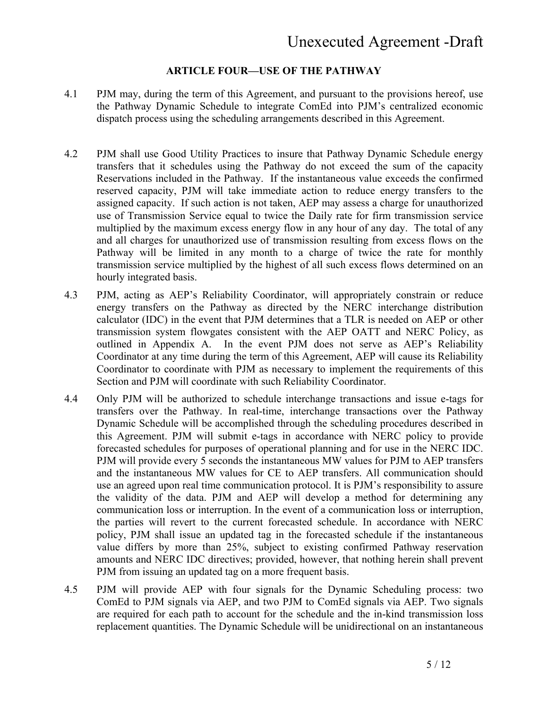#### **ARTICLE FOUR—USE OF THE PATHWAY**

- 4.1 PJM may, during the term of this Agreement, and pursuant to the provisions hereof, use the Pathway Dynamic Schedule to integrate ComEd into PJM's centralized economic dispatch process using the scheduling arrangements described in this Agreement.
- 4.2 PJM shall use Good Utility Practices to insure that Pathway Dynamic Schedule energy transfers that it schedules using the Pathway do not exceed the sum of the capacity Reservations included in the Pathway. If the instantaneous value exceeds the confirmed reserved capacity, PJM will take immediate action to reduce energy transfers to the assigned capacity. If such action is not taken, AEP may assess a charge for unauthorized use of Transmission Service equal to twice the Daily rate for firm transmission service multiplied by the maximum excess energy flow in any hour of any day. The total of any and all charges for unauthorized use of transmission resulting from excess flows on the Pathway will be limited in any month to a charge of twice the rate for monthly transmission service multiplied by the highest of all such excess flows determined on an hourly integrated basis.
- 4.3 PJM, acting as AEP's Reliability Coordinator, will appropriately constrain or reduce energy transfers on the Pathway as directed by the NERC interchange distribution calculator (IDC) in the event that PJM determines that a TLR is needed on AEP or other transmission system flowgates consistent with the AEP OATT and NERC Policy, as outlined in Appendix A. In the event PJM does not serve as AEP's Reliability Coordinator at any time during the term of this Agreement, AEP will cause its Reliability Coordinator to coordinate with PJM as necessary to implement the requirements of this Section and PJM will coordinate with such Reliability Coordinator.
- 4.4 Only PJM will be authorized to schedule interchange transactions and issue e-tags for transfers over the Pathway. In real-time, interchange transactions over the Pathway Dynamic Schedule will be accomplished through the scheduling procedures described in this Agreement. PJM will submit e-tags in accordance with NERC policy to provide forecasted schedules for purposes of operational planning and for use in the NERC IDC. PJM will provide every 5 seconds the instantaneous MW values for PJM to AEP transfers and the instantaneous MW values for CE to AEP transfers. All communication should use an agreed upon real time communication protocol. It is PJM's responsibility to assure the validity of the data. PJM and AEP will develop a method for determining any communication loss or interruption. In the event of a communication loss or interruption, the parties will revert to the current forecasted schedule. In accordance with NERC policy, PJM shall issue an updated tag in the forecasted schedule if the instantaneous value differs by more than 25%, subject to existing confirmed Pathway reservation amounts and NERC IDC directives; provided, however, that nothing herein shall prevent PJM from issuing an updated tag on a more frequent basis.
- 4.5 PJM will provide AEP with four signals for the Dynamic Scheduling process: two ComEd to PJM signals via AEP, and two PJM to ComEd signals via AEP. Two signals are required for each path to account for the schedule and the in-kind transmission loss replacement quantities. The Dynamic Schedule will be unidirectional on an instantaneous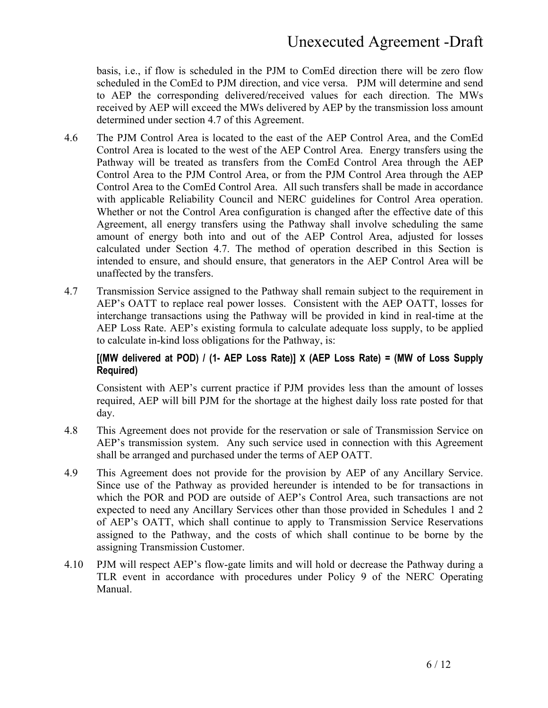basis, i.e., if flow is scheduled in the PJM to ComEd direction there will be zero flow scheduled in the ComEd to PJM direction, and vice versa. PJM will determine and send to AEP the corresponding delivered/received values for each direction. The MWs received by AEP will exceed the MWs delivered by AEP by the transmission loss amount determined under section 4.7 of this Agreement.

- 4.6 The PJM Control Area is located to the east of the AEP Control Area, and the ComEd Control Area is located to the west of the AEP Control Area. Energy transfers using the Pathway will be treated as transfers from the ComEd Control Area through the AEP Control Area to the PJM Control Area, or from the PJM Control Area through the AEP Control Area to the ComEd Control Area. All such transfers shall be made in accordance with applicable Reliability Council and NERC guidelines for Control Area operation. Whether or not the Control Area configuration is changed after the effective date of this Agreement, all energy transfers using the Pathway shall involve scheduling the same amount of energy both into and out of the AEP Control Area, adjusted for losses calculated under Section 4.7. The method of operation described in this Section is intended to ensure, and should ensure, that generators in the AEP Control Area will be unaffected by the transfers.
- 4.7 Transmission Service assigned to the Pathway shall remain subject to the requirement in AEP's OATT to replace real power losses. Consistent with the AEP OATT, losses for interchange transactions using the Pathway will be provided in kind in real-time at the AEP Loss Rate. AEP's existing formula to calculate adequate loss supply, to be applied to calculate in-kind loss obligations for the Pathway, is:

#### **[(MW delivered at POD) / (1- AEP Loss Rate)] X (AEP Loss Rate) = (MW of Loss Supply Required)**

Consistent with AEP's current practice if PJM provides less than the amount of losses required, AEP will bill PJM for the shortage at the highest daily loss rate posted for that day.

- 4.8 This Agreement does not provide for the reservation or sale of Transmission Service on AEP's transmission system. Any such service used in connection with this Agreement shall be arranged and purchased under the terms of AEP OATT.
- 4.9 This Agreement does not provide for the provision by AEP of any Ancillary Service. Since use of the Pathway as provided hereunder is intended to be for transactions in which the POR and POD are outside of AEP's Control Area, such transactions are not expected to need any Ancillary Services other than those provided in Schedules 1 and 2 of AEP's OATT, which shall continue to apply to Transmission Service Reservations assigned to the Pathway, and the costs of which shall continue to be borne by the assigning Transmission Customer.
- 4.10 PJM will respect AEP's flow-gate limits and will hold or decrease the Pathway during a TLR event in accordance with procedures under Policy 9 of the NERC Operating Manual.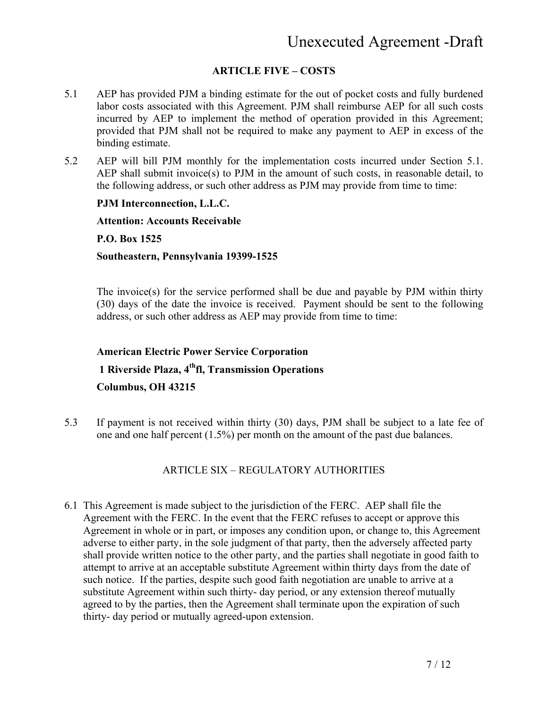#### **ARTICLE FIVE – COSTS**

- 5.1 AEP has provided PJM a binding estimate for the out of pocket costs and fully burdened labor costs associated with this Agreement. PJM shall reimburse AEP for all such costs incurred by AEP to implement the method of operation provided in this Agreement; provided that PJM shall not be required to make any payment to AEP in excess of the binding estimate.
- 5.2 AEP will bill PJM monthly for the implementation costs incurred under Section 5.1. AEP shall submit invoice(s) to PJM in the amount of such costs, in reasonable detail, to the following address, or such other address as PJM may provide from time to time:

#### **PJM Interconnection, L.L.C.**

#### **Attention: Accounts Receivable**

**P.O. Box 1525** 

#### **Southeastern, Pennsylvania 19399-1525**

The invoice(s) for the service performed shall be due and payable by PJM within thirty (30) days of the date the invoice is received. Payment should be sent to the following address, or such other address as AEP may provide from time to time:

# **American Electric Power Service Corporation 1 Riverside Plaza, 4thfl, Transmission Operations Columbus, OH 43215**

5.3 If payment is not received within thirty (30) days, PJM shall be subject to a late fee of one and one half percent (1.5%) per month on the amount of the past due balances.

#### ARTICLE SIX – REGULATORY AUTHORITIES

6.1 This Agreement is made subject to the jurisdiction of the FERC. AEP shall file the Agreement with the FERC. In the event that the FERC refuses to accept or approve this Agreement in whole or in part, or imposes any condition upon, or change to, this Agreement adverse to either party, in the sole judgment of that party, then the adversely affected party shall provide written notice to the other party, and the parties shall negotiate in good faith to attempt to arrive at an acceptable substitute Agreement within thirty days from the date of such notice. If the parties, despite such good faith negotiation are unable to arrive at a substitute Agreement within such thirty- day period, or any extension thereof mutually agreed to by the parties, then the Agreement shall terminate upon the expiration of such thirty- day period or mutually agreed-upon extension.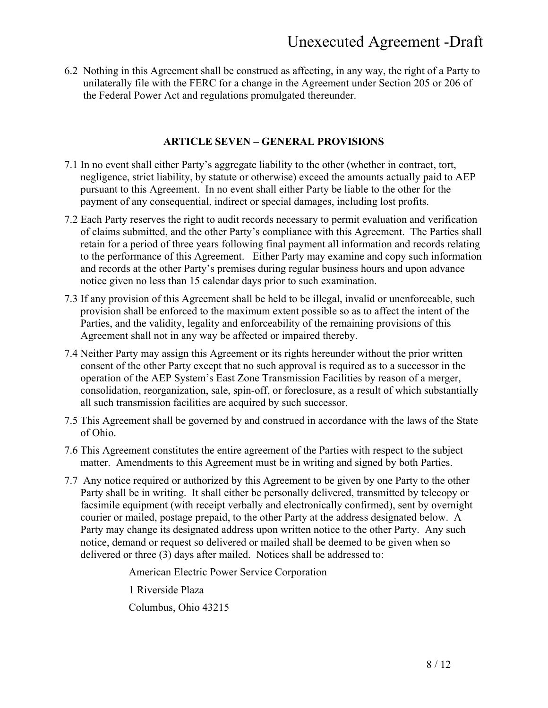6.2 Nothing in this Agreement shall be construed as affecting, in any way, the right of a Party to unilaterally file with the FERC for a change in the Agreement under Section 205 or 206 of the Federal Power Act and regulations promulgated thereunder.

#### **ARTICLE SEVEN – GENERAL PROVISIONS**

- 7.1 In no event shall either Party's aggregate liability to the other (whether in contract, tort, negligence, strict liability, by statute or otherwise) exceed the amounts actually paid to AEP pursuant to this Agreement. In no event shall either Party be liable to the other for the payment of any consequential, indirect or special damages, including lost profits.
- 7.2 Each Party reserves the right to audit records necessary to permit evaluation and verification of claims submitted, and the other Party's compliance with this Agreement. The Parties shall retain for a period of three years following final payment all information and records relating to the performance of this Agreement. Either Party may examine and copy such information and records at the other Party's premises during regular business hours and upon advance notice given no less than 15 calendar days prior to such examination.
- 7.3 If any provision of this Agreement shall be held to be illegal, invalid or unenforceable, such provision shall be enforced to the maximum extent possible so as to affect the intent of the Parties, and the validity, legality and enforceability of the remaining provisions of this Agreement shall not in any way be affected or impaired thereby.
- 7.4 Neither Party may assign this Agreement or its rights hereunder without the prior written consent of the other Party except that no such approval is required as to a successor in the operation of the AEP System's East Zone Transmission Facilities by reason of a merger, consolidation, reorganization, sale, spin-off, or foreclosure, as a result of which substantially all such transmission facilities are acquired by such successor.
- 7.5 This Agreement shall be governed by and construed in accordance with the laws of the State of Ohio.
- 7.6 This Agreement constitutes the entire agreement of the Parties with respect to the subject matter. Amendments to this Agreement must be in writing and signed by both Parties.
- 7.7 Any notice required or authorized by this Agreement to be given by one Party to the other Party shall be in writing. It shall either be personally delivered, transmitted by telecopy or facsimile equipment (with receipt verbally and electronically confirmed), sent by overnight courier or mailed, postage prepaid, to the other Party at the address designated below. A Party may change its designated address upon written notice to the other Party. Any such notice, demand or request so delivered or mailed shall be deemed to be given when so delivered or three (3) days after mailed. Notices shall be addressed to:

American Electric Power Service Corporation

1 Riverside Plaza

Columbus, Ohio 43215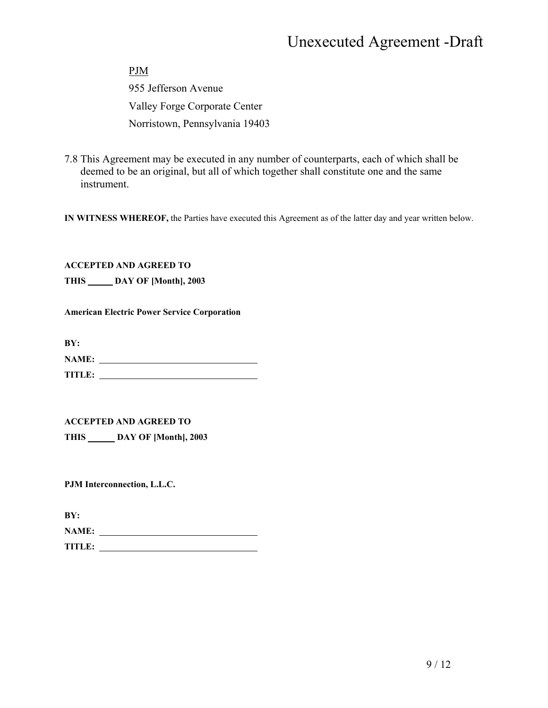PJM 955 Jefferson Avenue Valley Forge Corporate Center Norristown, Pennsylvania 19403

7.8 This Agreement may be executed in any number of counterparts, each of which shall be deemed to be an original, but all of which together shall constitute one and the same instrument.

**IN WITNESS WHEREOF,** the Parties have executed this Agreement as of the latter day and year written below.

**ACCEPTED AND AGREED TO** 

**THIS DAY OF [Month], 2003** 

**American Electric Power Service Corporation** 

**BY:** 

| <b>NAME:</b>  |  |
|---------------|--|
| <b>TITLE:</b> |  |

#### **ACCEPTED AND AGREED TO**

**THIS DAY OF [Month], 2003** 

**PJM Interconnection, L.L.C.** 

**BY:** 

| <b>NAME:</b> |  |  |
|--------------|--|--|
| TITLE:       |  |  |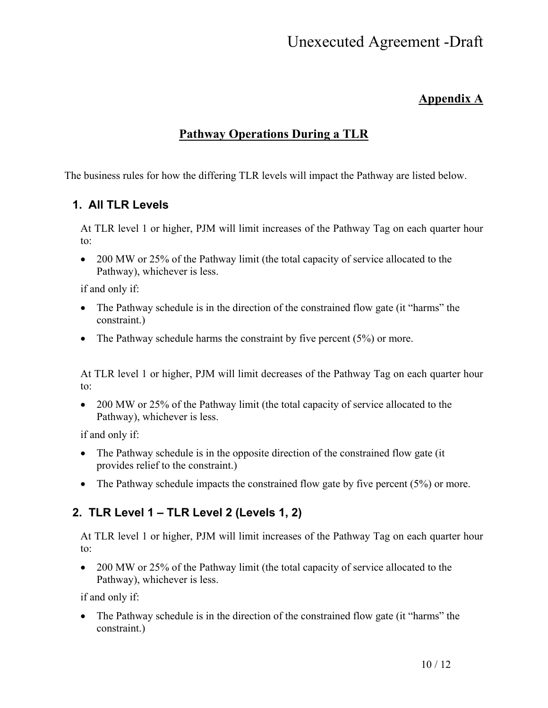### **Appendix A**

## **Pathway Operations During a TLR**

The business rules for how the differing TLR levels will impact the Pathway are listed below.

### **1. All TLR Levels**

At TLR level 1 or higher, PJM will limit increases of the Pathway Tag on each quarter hour to:

• 200 MW or 25% of the Pathway limit (the total capacity of service allocated to the Pathway), whichever is less.

if and only if:

- The Pathway schedule is in the direction of the constrained flow gate (it "harms" the constraint.)
- The Pathway schedule harms the constraint by five percent  $(5\%)$  or more.

At TLR level 1 or higher, PJM will limit decreases of the Pathway Tag on each quarter hour to:

• 200 MW or 25% of the Pathway limit (the total capacity of service allocated to the Pathway), whichever is less.

if and only if:

- The Pathway schedule is in the opposite direction of the constrained flow gate (it provides relief to the constraint.)
- The Pathway schedule impacts the constrained flow gate by five percent  $(5\%)$  or more.

## **2. TLR Level 1 – TLR Level 2 (Levels 1, 2)**

At TLR level 1 or higher, PJM will limit increases of the Pathway Tag on each quarter hour to:

• 200 MW or 25% of the Pathway limit (the total capacity of service allocated to the Pathway), whichever is less.

if and only if:

• The Pathway schedule is in the direction of the constrained flow gate (it "harms" the constraint.)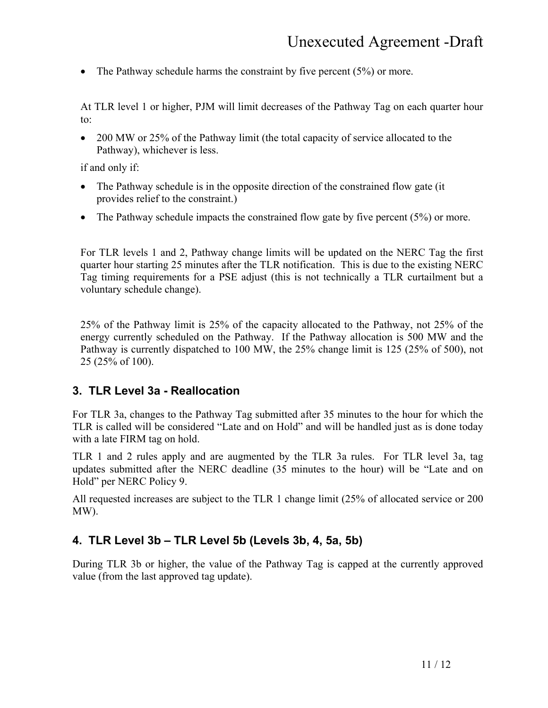• The Pathway schedule harms the constraint by five percent  $(5\%)$  or more.

At TLR level 1 or higher, PJM will limit decreases of the Pathway Tag on each quarter hour to:

• 200 MW or 25% of the Pathway limit (the total capacity of service allocated to the Pathway), whichever is less.

if and only if:

- The Pathway schedule is in the opposite direction of the constrained flow gate (it) provides relief to the constraint.)
- The Pathway schedule impacts the constrained flow gate by five percent  $(5%)$  or more.

For TLR levels 1 and 2, Pathway change limits will be updated on the NERC Tag the first quarter hour starting 25 minutes after the TLR notification. This is due to the existing NERC Tag timing requirements for a PSE adjust (this is not technically a TLR curtailment but a voluntary schedule change).

25% of the Pathway limit is 25% of the capacity allocated to the Pathway, not 25% of the energy currently scheduled on the Pathway. If the Pathway allocation is 500 MW and the Pathway is currently dispatched to 100 MW, the 25% change limit is 125 (25% of 500), not 25 (25% of 100).

### **3. TLR Level 3a - Reallocation**

For TLR 3a, changes to the Pathway Tag submitted after 35 minutes to the hour for which the TLR is called will be considered "Late and on Hold" and will be handled just as is done today with a late FIRM tag on hold.

TLR 1 and 2 rules apply and are augmented by the TLR 3a rules. For TLR level 3a, tag updates submitted after the NERC deadline (35 minutes to the hour) will be "Late and on Hold" per NERC Policy 9.

All requested increases are subject to the TLR 1 change limit (25% of allocated service or 200 MW).

### **4. TLR Level 3b – TLR Level 5b (Levels 3b, 4, 5a, 5b)**

During TLR 3b or higher, the value of the Pathway Tag is capped at the currently approved value (from the last approved tag update).